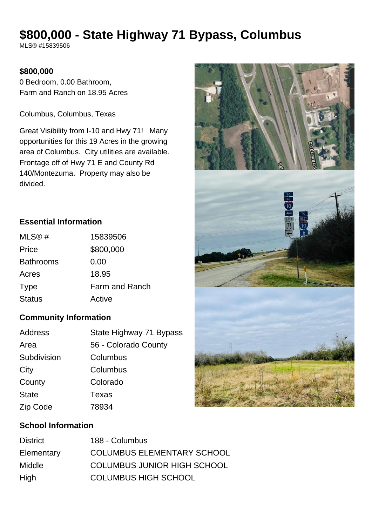# **\$800,000 - State Highway 71 Bypass, Columbus**

MLS® #15839506

### **\$800,000**

0 Bedroom, 0.00 Bathroom, Farm and Ranch on 18.95 Acres

Columbus, Columbus, Texas

Great Visibility from I-10 and Hwy 71! Many opportunities for this 19 Acres in the growing area of Columbus. City utilities are available. Frontage off of Hwy 71 E and County Rd 140/Montezuma. Property may also be divided.

# **Essential Information**

| MLS@#            | 15839506       |
|------------------|----------------|
| Price            | \$800,000      |
| <b>Bathrooms</b> | 0.00           |
| Acres            | 18.95          |
| <b>Type</b>      | Farm and Ranch |
| <b>Status</b>    | Active         |

## **Community Information**

| Address      | State Highway 71 Bypass |
|--------------|-------------------------|
| Area         | 56 - Colorado County    |
| Subdivision  | Columbus                |
| City         | Columbus                |
| County       | Colorado                |
| <b>State</b> | Texas                   |
| Zip Code     | 78934                   |

# **School Information**

| <b>District</b> | 188 - Columbus                     |
|-----------------|------------------------------------|
| Elementary      | <b>COLUMBUS ELEMENTARY SCHOOL</b>  |
| Middle          | <b>COLUMBUS JUNIOR HIGH SCHOOL</b> |
| High            | <b>COLUMBUS HIGH SCHOOL</b>        |